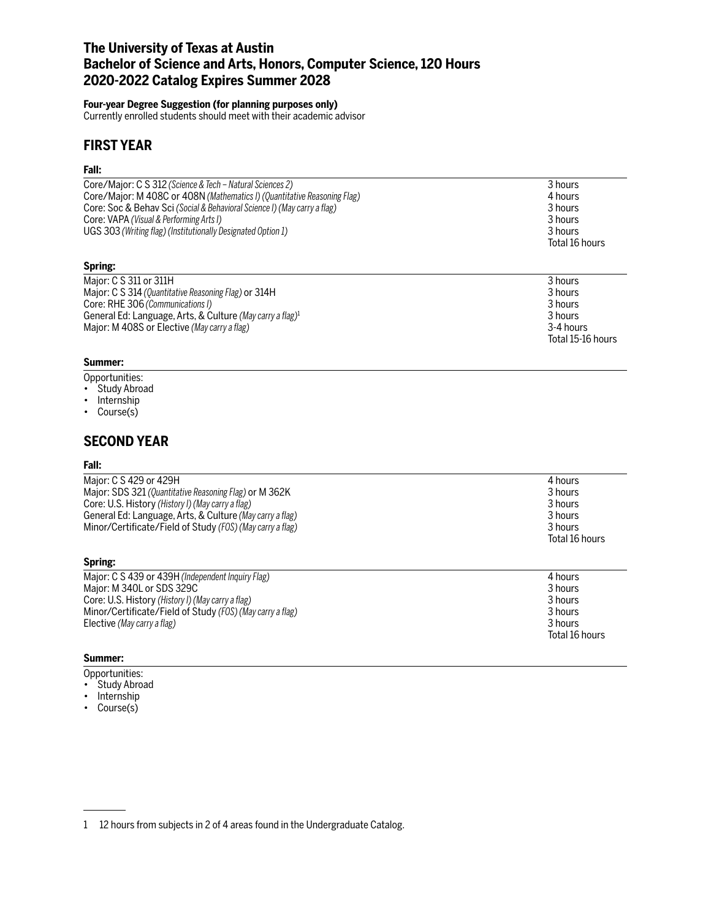# **The University of Texas at Austin Bachelor of Science and Arts, Honors, Computer Science, 120 Hours 2020-2022 Catalog Expires Summer 2028**

## **Four-year Degree Suggestion (for planning purposes only)**

Currently enrolled students should meet with their academic advisor

# **FIRST YEAR**

## **Fall:**

| Core/Major: C S 312 (Science & Tech – Natural Sciences 2)                                               | 3 hours                              |
|---------------------------------------------------------------------------------------------------------|--------------------------------------|
| Core/Major: M 408C or 408N (Mathematics I) (Quantitative Reasoning Flag)                                | 4 hours                              |
| Core: Soc & Behav Sci (Social & Behavioral Science I) (May carry a flag)                                | 3 hours                              |
| Core: VAPA (Visual & Performing Arts I)<br>UGS 303 (Writing flag) (Institutionally Designated Option 1) | 3 hours<br>3 hours<br>Total 16 hours |
| Spring:                                                                                                 |                                      |
| Major: C S 311 or 311H                                                                                  | 3 hours                              |
| Major: C S 314 (Quantitative Pessoning Flag) or 314H                                                    | 3 hours                              |

| <b>LITIC IN TIC C <math>\cap</math> <math>\cap</math> INIGINI</b>     | <b>JIIUUIS</b>    |
|-----------------------------------------------------------------------|-------------------|
| Major: C S 314 (Quantitative Reasoning Flag) or 314H                  | 3 hours           |
| Core: RHE 306 (Communications I)                                      | 3 hours           |
| General Ed: Language, Arts, & Culture (May carry a flag) <sup>1</sup> | 3 hours           |
| Major: M 408S or Elective (May carry a flag)                          | 3-4 hours         |
|                                                                       | Total 15-16 hours |

## **Summer:**

- Opportunities:
- Study Abroad
- Internship
- Course(s)

## **SECOND YEAR**

### **Fall:**

| Maior: C S 429 or 429H                                    | 4 hours        |
|-----------------------------------------------------------|----------------|
| Major: SDS 321 (Quantitative Reasoning Flag) or M 362K    | 3 hours        |
| Core: U.S. History (History I) (May carry a flag)         | 3 hours        |
| General Ed: Language, Arts, & Culture (May carry a flag)  | 3 hours        |
| Minor/Certificate/Field of Study (FOS) (May carry a flag) | 3 hours        |
|                                                           | Total 16 hours |

### **Spring:**

| Major: C S 439 or 439H (Independent Inquiry Flag)         | 4 hours        |
|-----------------------------------------------------------|----------------|
| Major: M 340L or SDS 329C                                 | 3 hours        |
| Core: U.S. History (History I) (May carry a flag)         | 3 hours        |
| Minor/Certificate/Field of Study (FOS) (May carry a flag) | 3 hours        |
| Elective (May carry a flag)                               | 3 hours        |
|                                                           | Total 16 hours |

### **Summer:**

- Opportunities:
- Study Abroad
- Internship
- Course(s)

<sup>1 12</sup> hours from subjects in 2 of 4 areas found in the Undergraduate Catalog.